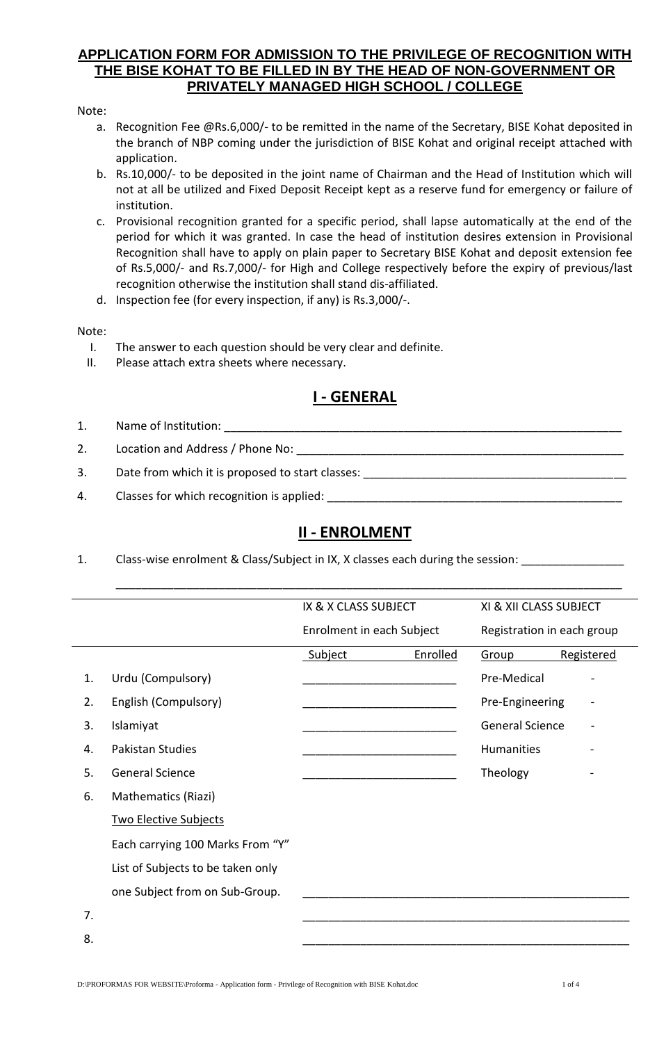### **APPLICATION FORM FOR ADMISSION TO THE PRIVILEGE OF RECOGNITION WITH THE BISE KOHAT TO BE FILLED IN BY THE HEAD OF NON-GOVERNMENT OR PRIVATELY MANAGED HIGH SCHOOL / COLLEGE**

### Note:

- a. Recognition Fee @Rs.6,000/- to be remitted in the name of the Secretary, BISE Kohat deposited in the branch of NBP coming under the jurisdiction of BISE Kohat and original receipt attached with application.
- b. Rs.10,000/- to be deposited in the joint name of Chairman and the Head of Institution which will not at all be utilized and Fixed Deposit Receipt kept as a reserve fund for emergency or failure of institution.
- c. Provisional recognition granted for a specific period, shall lapse automatically at the end of the period for which it was granted. In case the head of institution desires extension in Provisional Recognition shall have to apply on plain paper to Secretary BISE Kohat and deposit extension fee of Rs.5,000/- and Rs.7,000/- for High and College respectively before the expiry of previous/last recognition otherwise the institution shall stand dis-affiliated.
- d. Inspection fee (for every inspection, if any) is Rs.3,000/-.

### Note:

- I. The answer to each question should be very clear and definite.
- II. Please attach extra sheets where necessary.

## **I - GENERAL**

- 1. Name of Institution:
- 2. Location and Address / Phone No:
- 3. Date from which it is proposed to start classes: \_\_\_\_\_\_\_\_\_\_\_\_\_\_\_\_\_\_\_\_\_\_\_\_\_\_\_\_
- 4. Classes for which recognition is applied:

# **II - ENROLMENT**

\_\_\_\_\_\_\_\_\_\_\_\_\_\_\_\_\_\_\_\_\_\_\_\_\_\_\_\_\_\_\_\_\_\_\_\_\_\_\_\_\_\_\_\_\_\_\_\_\_\_\_\_\_\_\_\_\_\_\_\_\_\_\_\_\_\_\_\_\_\_\_\_\_\_\_\_\_\_\_

1. Class-wise enrolment & Class/Subject in IX, X classes each during the session:

|    |                                   | IX & X CLASS SUBJECT      |          | XI & XII CLASS SUBJECT     |            |
|----|-----------------------------------|---------------------------|----------|----------------------------|------------|
|    |                                   | Enrolment in each Subject |          | Registration in each group |            |
|    |                                   | Subject                   | Enrolled | Group                      | Registered |
| 1. | Urdu (Compulsory)                 |                           |          | Pre-Medical                |            |
| 2. | English (Compulsory)              |                           |          | Pre-Engineering            |            |
| 3. | Islamiyat                         |                           |          | <b>General Science</b>     |            |
| 4. | Pakistan Studies                  |                           |          | Humanities                 |            |
| 5. | <b>General Science</b>            |                           |          | Theology                   |            |
| 6. | Mathematics (Riazi)               |                           |          |                            |            |
|    | <b>Two Elective Subjects</b>      |                           |          |                            |            |
|    | Each carrying 100 Marks From "Y"  |                           |          |                            |            |
|    | List of Subjects to be taken only |                           |          |                            |            |
|    | one Subject from on Sub-Group.    |                           |          |                            |            |
| 7. |                                   |                           |          |                            |            |

8. \_\_\_\_\_\_\_\_\_\_\_\_\_\_\_\_\_\_\_\_\_\_\_\_\_\_\_\_\_\_\_\_\_\_\_\_\_\_\_\_\_\_\_\_\_\_\_\_\_\_\_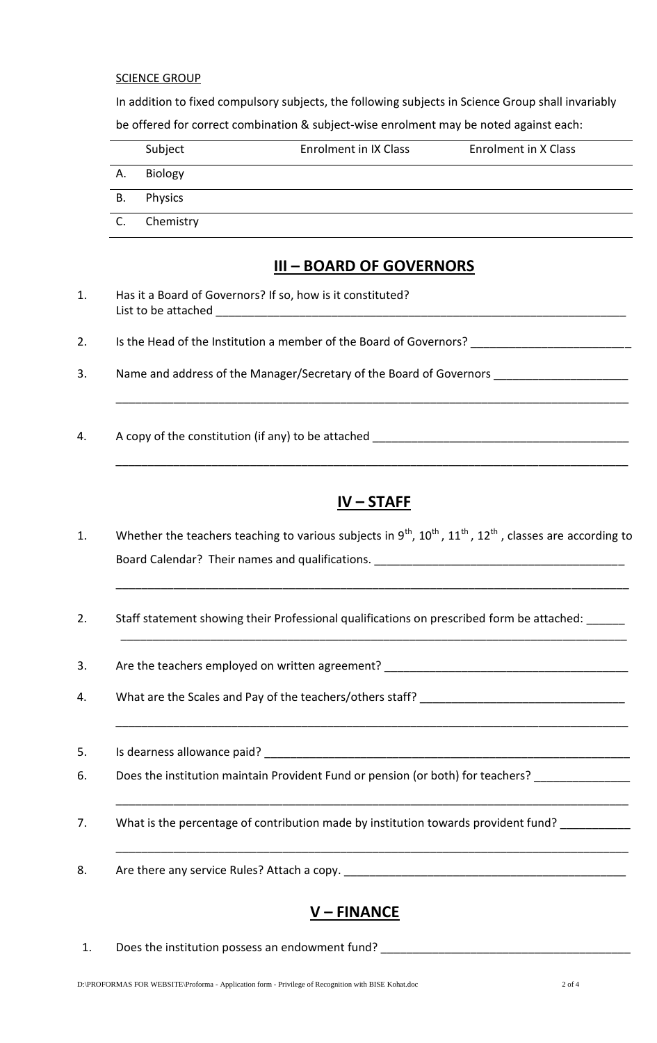#### **SCIENCE GROUP**

In addition to fixed compulsory subjects, the following subjects in Science Group shall invariably be offered for correct combination & subject-wise enrolment may be noted against each:

|    | Subject        | Enrolment in IX Class | Enrolment in X Class |
|----|----------------|-----------------------|----------------------|
| Α. | Biology        |                       |                      |
| В. | <b>Physics</b> |                       |                      |
| C. | Chemistry      |                       |                      |

### **III – BOARD OF GOVERNORS**

- 1. Has it a Board of Governors? If so, how is it constituted? List to be attached \_\_\_\_\_\_\_\_\_\_\_\_\_\_\_\_\_\_\_\_\_\_\_\_\_\_\_\_\_\_\_\_\_\_\_\_\_\_\_\_\_\_\_\_\_\_\_\_\_\_\_\_\_\_\_\_\_\_\_\_\_\_\_\_
- 2. Is the Head of the Institution a member of the Board of Governors? \_\_\_\_\_\_\_\_\_\_
- 3. Name and address of the Manager/Secretary of the Board of Governors
- 4. A copy of the constitution (if any) to be attached

## **IV – STAFF**

\_\_\_\_\_\_\_\_\_\_\_\_\_\_\_\_\_\_\_\_\_\_\_\_\_\_\_\_\_\_\_\_\_\_\_\_\_\_\_\_\_\_\_\_\_\_\_\_\_\_\_\_\_\_\_\_\_\_\_\_\_\_\_\_\_\_\_\_\_\_\_\_\_\_\_\_\_\_\_\_

\_\_\_\_\_\_\_\_\_\_\_\_\_\_\_\_\_\_\_\_\_\_\_\_\_\_\_\_\_\_\_\_\_\_\_\_\_\_\_\_\_\_\_\_\_\_\_\_\_\_\_\_\_\_\_\_\_\_\_\_\_\_\_\_\_\_\_\_\_\_\_\_\_\_\_\_\_\_\_

\_\_\_\_\_\_\_\_\_\_\_\_\_\_\_\_\_\_\_\_\_\_\_\_\_\_\_\_\_\_\_\_\_\_\_\_\_\_\_\_\_\_\_\_\_\_\_\_\_\_\_\_\_\_\_\_\_\_\_\_\_\_\_\_\_\_\_\_\_\_\_\_\_\_\_\_\_\_\_\_

\_\_\_\_\_\_\_\_\_\_\_\_\_\_\_\_\_\_\_\_\_\_\_\_\_\_\_\_\_\_\_\_\_\_\_\_\_\_\_\_\_\_\_\_\_\_\_\_\_\_\_\_\_\_\_\_\_\_\_\_\_\_\_\_\_\_\_\_\_\_\_\_\_\_\_\_\_\_\_\_

\_\_\_\_\_\_\_\_\_\_\_\_\_\_\_\_\_\_\_\_\_\_\_\_\_\_\_\_\_\_\_\_\_\_\_\_\_\_\_\_\_\_\_\_\_\_\_\_\_\_\_\_\_\_\_\_\_\_\_\_\_\_\_\_\_\_\_\_\_\_\_\_\_\_\_\_\_\_\_\_

\_\_\_\_\_\_\_\_\_\_\_\_\_\_\_\_\_\_\_\_\_\_\_\_\_\_\_\_\_\_\_\_\_\_\_\_\_\_\_\_\_\_\_\_\_\_\_\_\_\_\_\_\_\_\_\_\_\_\_\_\_\_\_\_\_\_\_\_\_\_\_\_\_\_\_\_\_\_\_\_

\_\_\_\_\_\_\_\_\_\_\_\_\_\_\_\_\_\_\_\_\_\_\_\_\_\_\_\_\_\_\_\_\_\_\_\_\_\_\_\_\_\_\_\_\_\_\_\_\_\_\_\_\_\_\_\_\_\_\_\_\_\_\_\_\_\_\_\_\_\_\_\_\_\_\_\_\_\_\_\_

- 1. Whether the teachers teaching to various subjects in  $9^{th}$ ,  $10^{th}$ ,  $11^{th}$ ,  $12^{th}$ , classes are according to Board Calendar? Their names and qualifications.
- 2. Staff statement showing their Professional qualifications on prescribed form be attached: \_\_\_\_\_\_
- 3. Are the teachers employed on written agreement? \_\_\_\_\_\_\_\_\_\_\_\_\_\_\_\_\_\_\_\_\_\_\_\_\_\_\_\_\_
- 4. What are the Scales and Pay of the teachers/others staff?
- 5. Is dearness allowance paid?
- 6. Does the institution maintain Provident Fund or pension (or both) for teachers?
- 7. What is the percentage of contribution made by institution towards provident fund?
- 8. Are there any service Rules? Attach a copy. \_\_\_\_\_\_\_\_\_\_\_\_\_\_\_\_\_\_\_\_\_\_\_\_\_\_\_\_\_\_\_\_\_

# **V – FINANCE**

1. Does the institution possess an endowment fund?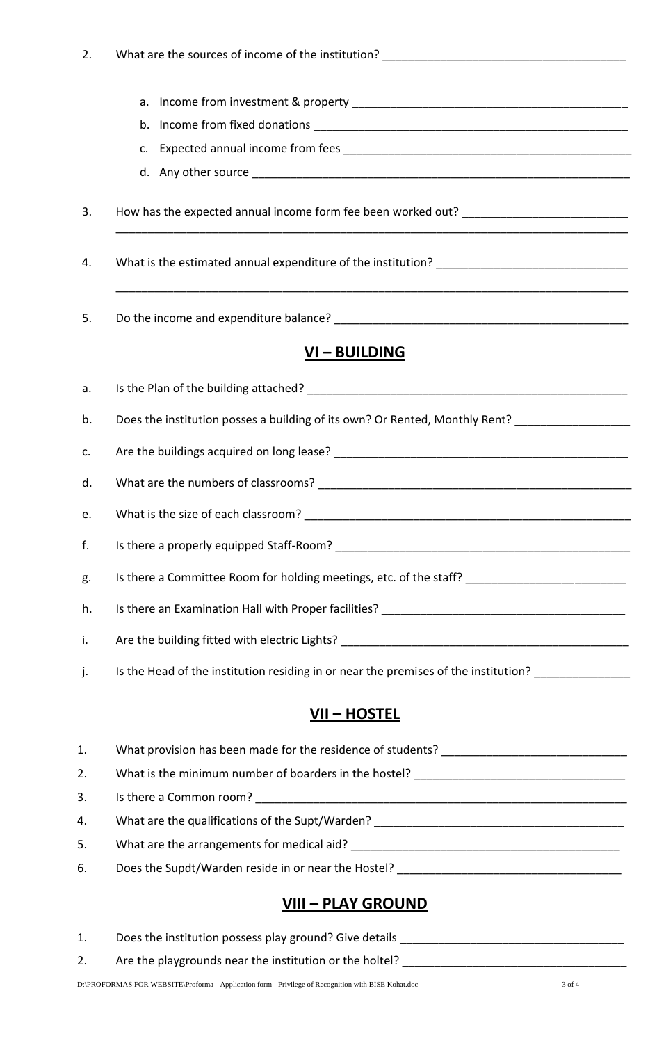| 2. |                                                                                                     |  |  |
|----|-----------------------------------------------------------------------------------------------------|--|--|
|    |                                                                                                     |  |  |
|    |                                                                                                     |  |  |
|    |                                                                                                     |  |  |
|    |                                                                                                     |  |  |
| 3. | How has the expected annual income form fee been worked out? ____________________                   |  |  |
| 4. |                                                                                                     |  |  |
| 5. |                                                                                                     |  |  |
|    | <u>VI – BUILDING</u>                                                                                |  |  |
| a. |                                                                                                     |  |  |
| b. | Does the institution posses a building of its own? Or Rented, Monthly Rent? _______________________ |  |  |
| c. |                                                                                                     |  |  |
| d. |                                                                                                     |  |  |
| e. |                                                                                                     |  |  |
| f. |                                                                                                     |  |  |
| g. | Is there a Committee Room for holding meetings, etc. of the staff? ________________________________ |  |  |
| h. |                                                                                                     |  |  |
| i. |                                                                                                     |  |  |
| j. | Is the Head of the institution residing in or near the premises of the institution? _______________ |  |  |
|    | <u>VII – HOSTEL</u>                                                                                 |  |  |
| 1. |                                                                                                     |  |  |
| 2. |                                                                                                     |  |  |
| 3. |                                                                                                     |  |  |
| 4. | What are the qualifications of the Supt/Warden? _________________________________                   |  |  |
| 5. |                                                                                                     |  |  |
| 6. |                                                                                                     |  |  |
|    | <u>VIII – PLAY GROUND</u>                                                                           |  |  |

| Does the institution possess play ground? Give details  |
|---------------------------------------------------------|
| Are the playgrounds near the institution or the holtel? |